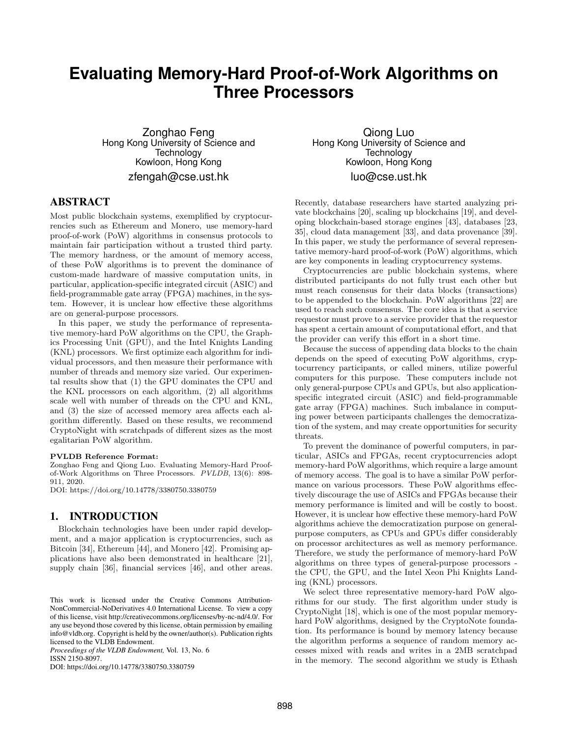# **Evaluating Memory-Hard Proof-of-Work Algorithms on Three Processors**

Zonghao Feng Hong Kong University of Science and **Technology** Kowloon, Hong Kong zfengah@cse.ust.hk

# ABSTRACT

Most public blockchain systems, exemplified by cryptocurrencies such as Ethereum and Monero, use memory-hard proof-of-work (PoW) algorithms in consensus protocols to maintain fair participation without a trusted third party. The memory hardness, or the amount of memory access, of these PoW algorithms is to prevent the dominance of custom-made hardware of massive computation units, in particular, application-specific integrated circuit (ASIC) and field-programmable gate array (FPGA) machines, in the system. However, it is unclear how effective these algorithms are on general-purpose processors.

In this paper, we study the performance of representative memory-hard PoW algorithms on the CPU, the Graphics Processing Unit (GPU), and the Intel Knights Landing (KNL) processors. We first optimize each algorithm for individual processors, and then measure their performance with number of threads and memory size varied. Our experimental results show that (1) the GPU dominates the CPU and the KNL processors on each algorithm, (2) all algorithms scale well with number of threads on the CPU and KNL, and (3) the size of accessed memory area affects each algorithm differently. Based on these results, we recommend CryptoNight with scratchpads of different sizes as the most egalitarian PoW algorithm.

#### PVLDB Reference Format:

Zonghao Feng and Qiong Luo. Evaluating Memory-Hard Proofof-Work Algorithms on Three Processors. PVLDB, 13(6): 898- 911, 2020.

DOI: https://doi.org/10.14778/3380750.3380759

### 1. INTRODUCTION

Blockchain technologies have been under rapid development, and a major application is cryptocurrencies, such as Bitcoin [34], Ethereum [44], and Monero [42]. Promising applications have also been demonstrated in healthcare [21], supply chain [36], financial services [46], and other areas.

*Proceedings of the VLDB Endowment,* Vol. 13, No. 6 ISSN 2150-8097.

DOI: https://doi.org/10.14778/3380750.3380759

Qiong Luo Hong Kong University of Science and **Technology** Kowloon, Hong Kong luo@cse.ust.hk

Recently, database researchers have started analyzing private blockchains [20], scaling up blockchains [19], and developing blockchain-based storage engines [43], databases [23, 35], cloud data management [33], and data provenance [39]. In this paper, we study the performance of several representative memory-hard proof-of-work (PoW) algorithms, which are key components in leading cryptocurrency systems.

Cryptocurrencies are public blockchain systems, where distributed participants do not fully trust each other but must reach consensus for their data blocks (transactions) to be appended to the blockchain. PoW algorithms [22] are used to reach such consensus. The core idea is that a service requestor must prove to a service provider that the requestor has spent a certain amount of computational effort, and that the provider can verify this effort in a short time.

Because the success of appending data blocks to the chain depends on the speed of executing PoW algorithms, cryptocurrency participants, or called miners, utilize powerful computers for this purpose. These computers include not only general-purpose CPUs and GPUs, but also applicationspecific integrated circuit (ASIC) and field-programmable gate array (FPGA) machines. Such imbalance in computing power between participants challenges the democratization of the system, and may create opportunities for security threats.

To prevent the dominance of powerful computers, in particular, ASICs and FPGAs, recent cryptocurrencies adopt memory-hard PoW algorithms, which require a large amount of memory access. The goal is to have a similar PoW performance on various processors. These PoW algorithms effectively discourage the use of ASICs and FPGAs because their memory performance is limited and will be costly to boost. However, it is unclear how effective these memory-hard PoW algorithms achieve the democratization purpose on generalpurpose computers, as CPUs and GPUs differ considerably on processor architectures as well as memory performance. Therefore, we study the performance of memory-hard PoW algorithms on three types of general-purpose processors the CPU, the GPU, and the Intel Xeon Phi Knights Landing (KNL) processors.

We select three representative memory-hard PoW algorithms for our study. The first algorithm under study is CryptoNight [18], which is one of the most popular memoryhard PoW algorithms, designed by the CryptoNote foundation. Its performance is bound by memory latency because the algorithm performs a sequence of random memory accesses mixed with reads and writes in a 2MB scratchpad in the memory. The second algorithm we study is Ethash

This work is licensed under the Creative Commons Attribution-NonCommercial-NoDerivatives 4.0 International License. To view a copy of this license, visit http://creativecommons.org/licenses/by-nc-nd/4.0/. For any use beyond those covered by this license, obtain permission by emailing info@vldb.org. Copyright is held by the owner/author(s). Publication rights licensed to the VLDB Endowment.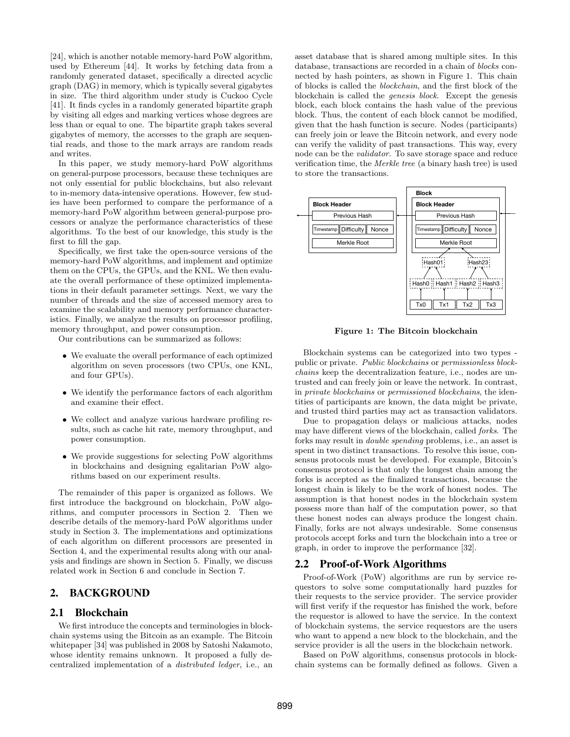[24], which is another notable memory-hard PoW algorithm, used by Ethereum [44]. It works by fetching data from a randomly generated dataset, specifically a directed acyclic graph (DAG) in memory, which is typically several gigabytes in size. The third algorithm under study is Cuckoo Cycle [41]. It finds cycles in a randomly generated bipartite graph by visiting all edges and marking vertices whose degrees are less than or equal to one. The bipartite graph takes several gigabytes of memory, the accesses to the graph are sequential reads, and those to the mark arrays are random reads and writes.

In this paper, we study memory-hard PoW algorithms on general-purpose processors, because these techniques are not only essential for public blockchains, but also relevant to in-memory data-intensive operations. However, few studies have been performed to compare the performance of a memory-hard PoW algorithm between general-purpose processors or analyze the performance characteristics of these algorithms. To the best of our knowledge, this study is the first to fill the gap.

Specifically, we first take the open-source versions of the memory-hard PoW algorithms, and implement and optimize them on the CPUs, the GPUs, and the KNL. We then evaluate the overall performance of these optimized implementations in their default parameter settings. Next, we vary the number of threads and the size of accessed memory area to examine the scalability and memory performance characteristics. Finally, we analyze the results on processor profiling, memory throughput, and power consumption.

Our contributions can be summarized as follows:

- We evaluate the overall performance of each optimized algorithm on seven processors (two CPUs, one KNL, and four GPUs).
- We identify the performance factors of each algorithm and examine their effect.
- We collect and analyze various hardware profiling results, such as cache hit rate, memory throughput, and power consumption.
- We provide suggestions for selecting PoW algorithms in blockchains and designing egalitarian PoW algorithms based on our experiment results.

The remainder of this paper is organized as follows. We first introduce the background on blockchain, PoW algorithms, and computer processors in Section 2. Then we describe details of the memory-hard PoW algorithms under study in Section 3. The implementations and optimizations of each algorithm on different processors are presented in Section 4, and the experimental results along with our analysis and findings are shown in Section 5. Finally, we discuss related work in Section 6 and conclude in Section 7.

# 2. BACKGROUND

# 2.1 Blockchain

We first introduce the concepts and terminologies in blockchain systems using the Bitcoin as an example. The Bitcoin whitepaper [34] was published in 2008 by Satoshi Nakamoto, whose identity remains unknown. It proposed a fully decentralized implementation of a distributed ledger, i.e., an asset database that is shared among multiple sites. In this database, transactions are recorded in a chain of blocks connected by hash pointers, as shown in Figure 1. This chain of blocks is called the blockchain, and the first block of the blockchain is called the genesis block. Except the genesis block, each block contains the hash value of the previous block. Thus, the content of each block cannot be modified, given that the hash function is secure. Nodes (participants) can freely join or leave the Bitcoin network, and every node can verify the validity of past transactions. This way, every node can be the validator. To save storage space and reduce verification time, the Merkle tree (a binary hash tree) is used to store the transactions.



Figure 1: The Bitcoin blockchain

Blockchain systems can be categorized into two types public or private. Public blockchains or permissionless blockchains keep the decentralization feature, i.e., nodes are untrusted and can freely join or leave the network. In contrast, in private blockchains or permissioned blockchains, the identities of participants are known, the data might be private, and trusted third parties may act as transaction validators.

Due to propagation delays or malicious attacks, nodes may have different views of the blockchain, called forks. The forks may result in double spending problems, i.e., an asset is spent in two distinct transactions. To resolve this issue, consensus protocols must be developed. For example, Bitcoin's consensus protocol is that only the longest chain among the forks is accepted as the finalized transactions, because the longest chain is likely to be the work of honest nodes. The assumption is that honest nodes in the blockchain system possess more than half of the computation power, so that these honest nodes can always produce the longest chain. Finally, forks are not always undesirable. Some consensus protocols accept forks and turn the blockchain into a tree or graph, in order to improve the performance [32].

# 2.2 Proof-of-Work Algorithms

Proof-of-Work (PoW) algorithms are run by service requestors to solve some computationally hard puzzles for their requests to the service provider. The service provider will first verify if the requestor has finished the work, before the requestor is allowed to have the service. In the context of blockchain systems, the service requestors are the users who want to append a new block to the blockchain, and the service provider is all the users in the blockchain network.

Based on PoW algorithms, consensus protocols in blockchain systems can be formally defined as follows. Given a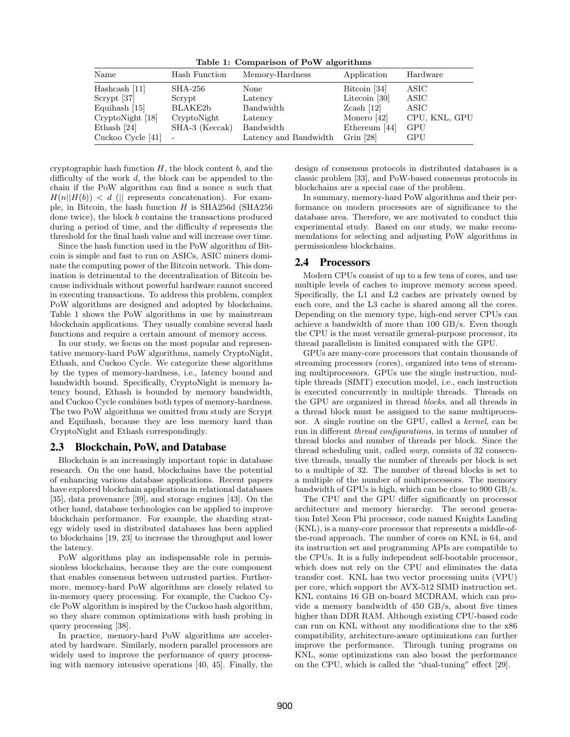Table 1: Comparison of PoW algorithms

| Name              | Hash Function            | Memory-Hardness       | Application         | Hardware      |
|-------------------|--------------------------|-----------------------|---------------------|---------------|
| Hashcash $[11]$   | SHA-256                  | None                  | Bitcoin [34]        | ASIC          |
| $Scrypt$ [37]     | Scrypt                   | Latency               | Litecoin $[30]$     | ASIC          |
| Equihash $[15]$   | BLAKE2b                  | Bandwidth             | $Z\text{cash}$ [12] | ASIC          |
| CryptoNight [18]  | CryptoNight              | Latency               | Monero $[42]$       | CPU, KNL, GPU |
| Ethash [24]       | SHA-3 (Keccak)           | Bandwidth             | Ethereum [44]       | GPU           |
| Cuckoo Cycle [41] | $\overline{\phantom{a}}$ | Latency and Bandwidth | Grin $[28]$         | GPU           |

cryptographic hash function  $H$ , the block content  $b$ , and the difficulty of the work d, the block can be appended to the chain if the PoW algorithm can find a nonce  $n$  such that  $H(n||H(b)) < d$  (|| represents concatenation). For example, in Bitcoin, the hash function  $H$  is SHA256d (SHA256 done twice), the block b contains the transactions produced during a period of time, and the difficulty d represents the threshold for the final hash value and will increase over time.

Since the hash function used in the PoW algorithm of Bitcoin is simple and fast to run on ASICs, ASIC miners dominate the computing power of the Bitcoin network. This domination is detrimental to the decentralization of Bitcoin because individuals without powerful hardware cannot succeed in executing transactions. To address this problem, complex PoW algorithms are designed and adopted by blockchains. Table 1 shows the PoW algorithms in use by mainstream blockchain applications. They usually combine several hash functions and require a certain amount of memory access.

In our study, we focus on the most popular and representative memory-hard PoW algorithms, namely CryptoNight, Ethash, and Cuckoo Cycle. We categorize these algorithms by the types of memory-hardness, i.e., latency bound and bandwidth bound. Specifically, CryptoNight is memory latency bound, Ethash is bounded by memory bandwidth, and Cuckoo Cycle combines both types of memory-hardness. The two PoW algorithms we omitted from study are Scrypt and Equihash, because they are less memory hard than CryptoNight and Ethash correspondingly.

# 2.3 Blockchain, PoW, and Database

Blockchain is an increasingly important topic in database research. On the one hand, blockchains have the potential of enhancing various database applications. Recent papers have explored blockchain applications in relational databases [35], data provenance [39], and storage engines [43]. On the other hand, database technologies can be applied to improve blockchain performance. For example, the sharding strategy widely used in distributed databases has been applied to blockchains [19, 23] to increase the throughput and lower the latency.

PoW algorithms play an indispensable role in permissionless blockchains, because they are the core component that enables consensus between untrusted parties. Furthermore, memory-hard PoW algorithms are closely related to in-memory query processing. For example, the Cuckoo Cycle PoW algorithm is inspired by the Cuckoo hash algorithm, so they share common optimizations with hash probing in query processing [38].

In practice, memory-hard PoW algorithms are accelerated by hardware. Similarly, modern parallel processors are widely used to improve the performance of query processing with memory intensive operations [40, 45]. Finally, the design of consensus protocols in distributed databases is a classic problem [33], and PoW-based consensus protocols in blockchains are a special case of the problem.

In summary, memory-hard PoW algorithms and their performance on modern processors are of significance to the database area. Therefore, we are motivated to conduct this experimental study. Based on our study, we make recommendations for selecting and adjusting PoW algorithms in permissionless blockchains.

#### 2.4 Processors

Modern CPUs consist of up to a few tens of cores, and use multiple levels of caches to improve memory access speed. Specifically, the L1 and L2 caches are privately owned by each core, and the L3 cache is shared among all the cores. Depending on the memory type, high-end server CPUs can achieve a bandwidth of more than 100 GB/s. Even though the CPU is the most versatile general-purpose processor, its thread parallelism is limited compared with the GPU.

GPUs are many-core processors that contain thousands of streaming processors (cores), organized into tens of streaming multiprocessors. GPUs use the single instruction, multiple threads (SIMT) execution model, i.e., each instruction is executed concurrently in multiple threads. Threads on the GPU are organized in thread blocks, and all threads in a thread block must be assigned to the same multiprocessor. A single routine on the GPU, called a kernel, can be run in different thread configurations, in terms of number of thread blocks and number of threads per block. Since the thread scheduling unit, called warp, consists of 32 consecutive threads, usually the number of threads per block is set to a multiple of 32. The number of thread blocks is set to a multiple of the number of multiprocessors. The memory bandwidth of GPUs is high, which can be close to 900 GB/s.

The CPU and the GPU differ significantly on processor architecture and memory hierarchy. The second generation Intel Xeon Phi processor, code named Knights Landing (KNL), is a many-core processor that represents a middle-ofthe-road approach. The number of cores on KNL is 64, and its instruction set and programming APIs are compatible to the CPUs. It is a fully independent self-bootable processor, which does not rely on the CPU and eliminates the data transfer cost. KNL has two vector processing units (VPU) per core, which support the AVX-512 SIMD instruction set. KNL contains 16 GB on-board MCDRAM, which can provide a memory bandwidth of 450 GB/s, about five times higher than DDR RAM. Although existing CPU-based code can run on KNL without any modifications due to the x86 compatibility, architecture-aware optimizations can further improve the performance. Through tuning programs on KNL, some optimizations can also boost the performance on the CPU, which is called the "dual-tuning" effect [29].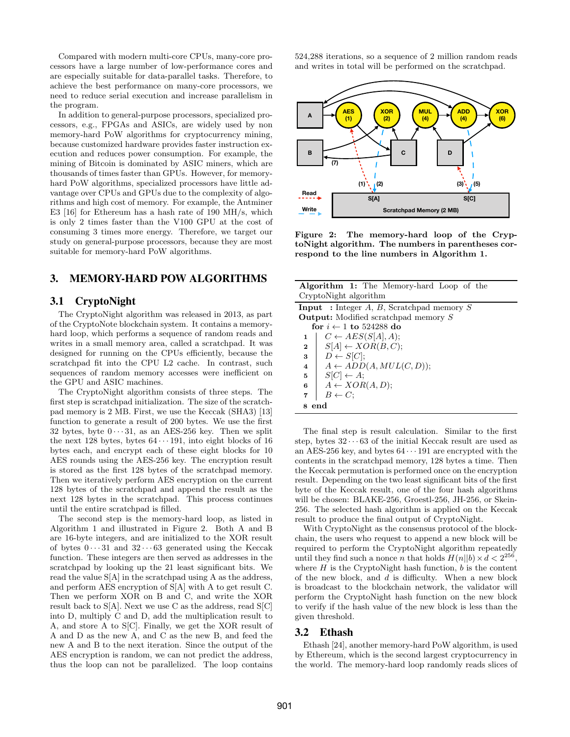Compared with modern multi-core CPUs, many-core processors have a large number of low-performance cores and are especially suitable for data-parallel tasks. Therefore, to achieve the best performance on many-core processors, we need to reduce serial execution and increase parallelism in the program.

In addition to general-purpose processors, specialized processors, e.g., FPGAs and ASICs, are widely used by non memory-hard PoW algorithms for cryptocurrency mining, because customized hardware provides faster instruction execution and reduces power consumption. For example, the mining of Bitcoin is dominated by ASIC miners, which are thousands of times faster than GPUs. However, for memoryhard PoW algorithms, specialized processors have little advantage over CPUs and GPUs due to the complexity of algorithms and high cost of memory. For example, the Antminer E3 [16] for Ethereum has a hash rate of 190 MH/s, which is only 2 times faster than the V100 GPU at the cost of consuming 3 times more energy. Therefore, we target our study on general-purpose processors, because they are most suitable for memory-hard PoW algorithms.

# 3. MEMORY-HARD POW ALGORITHMS

### 3.1 CryptoNight

The CryptoNight algorithm was released in 2013, as part of the CryptoNote blockchain system. It contains a memoryhard loop, which performs a sequence of random reads and writes in a small memory area, called a scratchpad. It was designed for running on the CPUs efficiently, because the scratchpad fit into the CPU L2 cache. In contrast, such sequences of random memory accesses were inefficient on the GPU and ASIC machines.

The CryptoNight algorithm consists of three steps. The first step is scratchpad initialization. The size of the scratchpad memory is 2 MB. First, we use the Keccak (SHA3) [13] function to generate a result of 200 bytes. We use the first 32 bytes, byte  $0 \cdots 31$ , as an AES-256 key. Then we split the next 128 bytes, bytes  $64 \cdots 191$ , into eight blocks of 16 bytes each, and encrypt each of these eight blocks for 10 AES rounds using the AES-256 key. The encryption result is stored as the first 128 bytes of the scratchpad memory. Then we iteratively perform AES encryption on the current 128 bytes of the scratchpad and append the result as the next 128 bytes in the scratchpad. This process continues until the entire scratchpad is filled.

The second step is the memory-hard loop, as listed in Algorithm 1 and illustrated in Figure 2. Both A and B are 16-byte integers, and are initialized to the XOR result of bytes  $0 \cdots 31$  and  $32 \cdots 63$  generated using the Keccak function. These integers are then served as addresses in the scratchpad by looking up the 21 least significant bits. We read the value S[A] in the scratchpad using A as the address, and perform AES encryption of S[A] with A to get result C. Then we perform XOR on B and C, and write the XOR result back to  $S[A]$ . Next we use C as the address, read  $S[C]$ into D, multiply C and D, add the multiplication result to A, and store A to S[C]. Finally, we get the XOR result of A and D as the new A, and C as the new B, and feed the new A and B to the next iteration. Since the output of the AES encryption is random, we can not predict the address, thus the loop can not be parallelized. The loop contains 524,288 iterations, so a sequence of 2 million random reads and writes in total will be performed on the scratchpad.



Figure 2: The memory-hard loop of the CryptoNight algorithm. The numbers in parentheses correspond to the line numbers in Algorithm 1.

|                         | <b>Algorithm 1:</b> The Memory-hard Loop of the  |
|-------------------------|--------------------------------------------------|
|                         | CryptoNight algorithm                            |
|                         | <b>Input</b> : Integer A, B, Scratchpad memory S |
|                         | <b>Output:</b> Modified scratchpad memory S      |
|                         | for $i \leftarrow 1$ to 524288 do                |
| 1                       | $C \leftarrow AES(S[A], A);$                     |
| $\bf{2}$                | $S[A] \leftarrow XOR(B, C);$                     |
| 3                       | $D \leftarrow S[C];$                             |
| $\overline{\mathbf{4}}$ | $A \leftarrow ADD(A, MUL(C, D));$                |
| 5                       | $S[C] \leftarrow A;$                             |
| 6                       | $A \leftarrow XOR(A, D);$                        |
| 7                       | $B \leftarrow C$ ;                               |
|                         | end                                              |

The final step is result calculation. Similar to the first step, bytes  $32 \cdots 63$  of the initial Keccak result are used as an AES-256 key, and bytes  $64 \cdots 191$  are encrypted with the contents in the scratchpad memory, 128 bytes a time. Then the Keccak permutation is performed once on the encryption result. Depending on the two least significant bits of the first byte of the Keccak result, one of the four hash algorithms will be chosen: BLAKE-256, Groestl-256, JH-256, or Skein-256. The selected hash algorithm is applied on the Keccak result to produce the final output of CryptoNight.

With CryptoNight as the consensus protocol of the blockchain, the users who request to append a new block will be required to perform the CryptoNight algorithm repeatedly until they find such a nonce *n* that holds  $H(n||b) \times d < 2^{256}$ , where  $H$  is the CryptoNight hash function,  $b$  is the content of the new block, and d is difficulty. When a new block is broadcast to the blockchain network, the validator will perform the CryptoNight hash function on the new block to verify if the hash value of the new block is less than the given threshold.

# 3.2 Ethash

Ethash [24], another memory-hard PoW algorithm, is used by Ethereum, which is the second largest cryptocurrency in the world. The memory-hard loop randomly reads slices of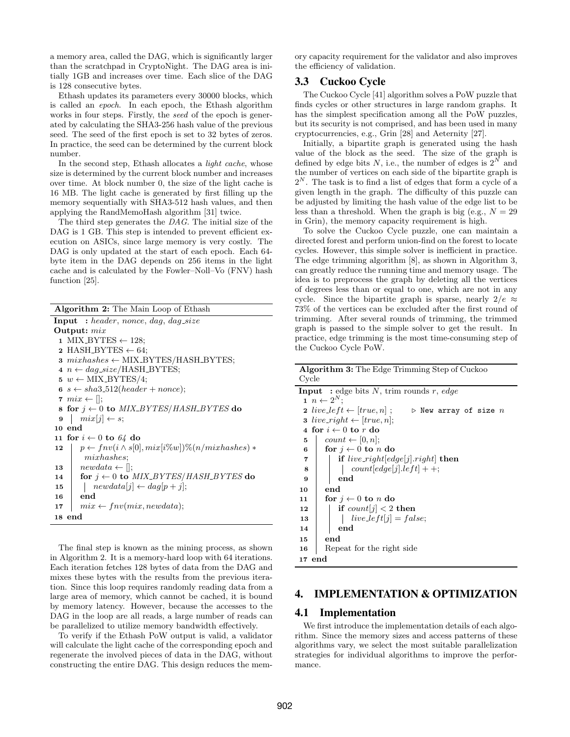a memory area, called the DAG, which is significantly larger than the scratchpad in CryptoNight. The DAG area is initially 1GB and increases over time. Each slice of the DAG is 128 consecutive bytes.

Ethash updates its parameters every 30000 blocks, which is called an epoch. In each epoch, the Ethash algorithm works in four steps. Firstly, the seed of the epoch is generated by calculating the SHA3-256 hash value of the previous seed. The seed of the first epoch is set to 32 bytes of zeros. In practice, the seed can be determined by the current block number.

In the second step, Ethash allocates a *light cache*, whose size is determined by the current block number and increases over time. At block number 0, the size of the light cache is 16 MB. The light cache is generated by first filling up the memory sequentially with SHA3-512 hash values, and then applying the RandMemoHash algorithm [31] twice.

The third step generates the DAG. The initial size of the DAG is 1 GB. This step is intended to prevent efficient execution on ASICs, since large memory is very costly. The DAG is only updated at the start of each epoch. Each 64 byte item in the DAG depends on 256 items in the light cache and is calculated by the Fowler–Noll–Vo (FNV) hash function [25].

Algorithm 2: The Main Loop of Ethash Input : header, nonce, dag, dag size Output: mix 1 MIX\_BYTES  $\leftarrow$  128; 2 HASH\_BYTES  $\leftarrow$  64; 3  $mixhashes \leftarrow \text{MIX\_BYTES}/\text{HASH\_BYTES};$ 4  $n \leftarrow dag\_size/HASH_BYTES;$ 5  $w \leftarrow \text{MIX-BYTES}/4;$ 6  $s \leftarrow sha3.512(header + nonce);$ 7  $mix \leftarrow$  []; 8 for  $j \leftarrow 0$  to  $MIX$ <sub>B</sub>YTES/HASH\_BYTES do  $9 \mid mix[j] \leftarrow s;$ 10 end 11 for  $i \leftarrow 0$  to 64 do 12  $\vert p \leftarrow \text{fnv}(i \wedge s[0], \text{mix}[i\%w])\%(n/\text{mixhashes}) *$ mixhashes; 13 |  $newdata \leftarrow []$ ; 14 for  $j \leftarrow 0$  to MIX\_BYTES/HASH\_BYTES do 15  $\vert$  newdata $[j] \leftarrow dag[p + j];$ 16 end 17  $mix \leftarrow \textit{fnv}(mix, \textit{newdata});$ 18 end

The final step is known as the mining process, as shown in Algorithm 2. It is a memory-hard loop with 64 iterations. Each iteration fetches 128 bytes of data from the DAG and mixes these bytes with the results from the previous iteration. Since this loop requires randomly reading data from a large area of memory, which cannot be cached, it is bound by memory latency. However, because the accesses to the DAG in the loop are all reads, a large number of reads can be parallelized to utilize memory bandwidth effectively.

To verify if the Ethash PoW output is valid, a validator will calculate the light cache of the corresponding epoch and regenerate the involved pieces of data in the DAG, without constructing the entire DAG. This design reduces the memory capacity requirement for the validator and also improves the efficiency of validation.

# 3.3 Cuckoo Cycle

The Cuckoo Cycle [41] algorithm solves a PoW puzzle that finds cycles or other structures in large random graphs. It has the simplest specification among all the PoW puzzles, but its security is not comprised, and has been used in many cryptocurrencies, e.g., Grin [28] and Aeternity [27].

Initially, a bipartite graph is generated using the hash value of the block as the seed. The size of the graph is defined by edge bits N, i.e., the number of edges is  $2^N$  and the number of vertices on each side of the bipartite graph is  $2^N$ . The task is to find a list of edges that form a cycle of a given length in the graph. The difficulty of this puzzle can be adjusted by limiting the hash value of the edge list to be less than a threshold. When the graph is big (e.g.,  $N = 29$ ) in Grin), the memory capacity requirement is high.

To solve the Cuckoo Cycle puzzle, one can maintain a directed forest and perform union-find on the forest to locate cycles. However, this simple solver is inefficient in practice. The edge trimming algorithm [8], as shown in Algorithm 3, can greatly reduce the running time and memory usage. The idea is to preprocess the graph by deleting all the vertices of degrees less than or equal to one, which are not in any cycle. Since the bipartite graph is sparse, nearly  $2/e \approx$ 73% of the vertices can be excluded after the first round of trimming. After several rounds of trimming, the trimmed graph is passed to the simple solver to get the result. In practice, edge trimming is the most time-consuming step of the Cuckoo Cycle PoW.

| <b>Algorithm 3:</b> The Edge Trimming Step of Cuckoo                       |  |  |  |
|----------------------------------------------------------------------------|--|--|--|
| Cycle                                                                      |  |  |  |
| <b>Input</b> : edge bits N, trim rounds r, edge                            |  |  |  |
| $n \leftarrow 2^N$                                                         |  |  |  |
| 2 $live\_left \leftarrow [true, n]$ ; $\triangleright$ New array of size n |  |  |  |
| <b>3</b> live_right $\leftarrow$ [true, n];                                |  |  |  |
| 4 for $i \leftarrow 0$ to r do                                             |  |  |  |
| $count \leftarrow [0, n];$<br>5                                            |  |  |  |
| for $i \leftarrow 0$ to n do<br>6                                          |  |  |  |
| <b>if</b> live_right[edge[j].right] <b>then</b><br>7                       |  |  |  |
| $count[edge[j].left]$ + +;<br>8                                            |  |  |  |
| end<br>9                                                                   |  |  |  |
| end<br>10                                                                  |  |  |  |
| for $i \leftarrow 0$ to n do<br>11                                         |  |  |  |
| if $count[j] < 2$ then<br>12                                               |  |  |  |
| $live\_left[j] = false;$<br>13                                             |  |  |  |
| end<br>14                                                                  |  |  |  |
| end<br>15                                                                  |  |  |  |
| Repeat for the right side<br>16                                            |  |  |  |
| 17 end                                                                     |  |  |  |

# 4. IMPLEMENTATION & OPTIMIZATION

# 4.1 Implementation

We first introduce the implementation details of each algorithm. Since the memory sizes and access patterns of these algorithms vary, we select the most suitable parallelization strategies for individual algorithms to improve the performance.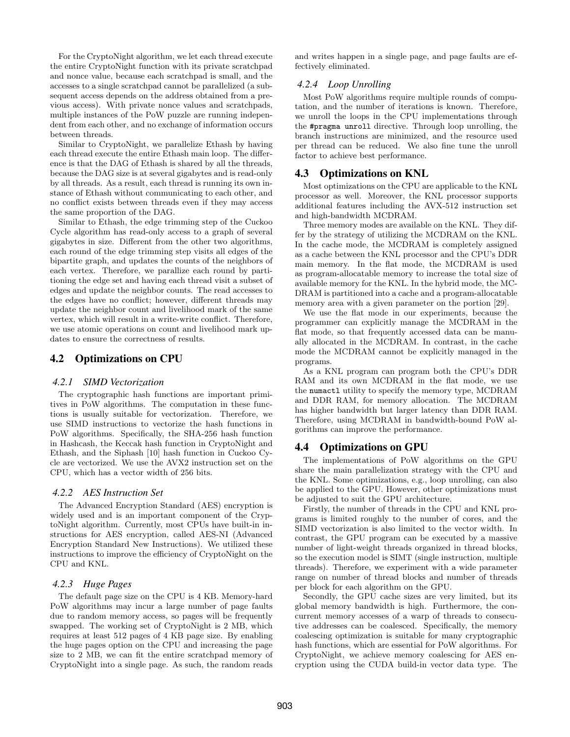For the CryptoNight algorithm, we let each thread execute the entire CryptoNight function with its private scratchpad and nonce value, because each scratchpad is small, and the accesses to a single scratchpad cannot be parallelized (a subsequent access depends on the address obtained from a previous access). With private nonce values and scratchpads, multiple instances of the PoW puzzle are running independent from each other, and no exchange of information occurs between threads.

Similar to CryptoNight, we parallelize Ethash by having each thread execute the entire Ethash main loop. The difference is that the DAG of Ethash is shared by all the threads, because the DAG size is at several gigabytes and is read-only by all threads. As a result, each thread is running its own instance of Ethash without communicating to each other, and no conflict exists between threads even if they may access the same proportion of the DAG.

Similar to Ethash, the edge trimming step of the Cuckoo Cycle algorithm has read-only access to a graph of several gigabytes in size. Different from the other two algorithms, each round of the edge trimming step visits all edges of the bipartite graph, and updates the counts of the neighbors of each vertex. Therefore, we parallize each round by partitioning the edge set and having each thread visit a subset of edges and update the neighbor counts. The read accesses to the edges have no conflict; however, different threads may update the neighbor count and livelihood mark of the same vertex, which will result in a write-write conflict. Therefore, we use atomic operations on count and livelihood mark updates to ensure the correctness of results.

# 4.2 Optimizations on CPU

#### *4.2.1 SIMD Vectorization*

The cryptographic hash functions are important primitives in PoW algorithms. The computation in these functions is usually suitable for vectorization. Therefore, we use SIMD instructions to vectorize the hash functions in PoW algorithms. Specifically, the SHA-256 hash function in Hashcash, the Keccak hash function in CryptoNight and Ethash, and the Siphash [10] hash function in Cuckoo Cycle are vectorized. We use the AVX2 instruction set on the CPU, which has a vector width of 256 bits.

#### *4.2.2 AES Instruction Set*

The Advanced Encryption Standard (AES) encryption is widely used and is an important component of the CryptoNight algorithm. Currently, most CPUs have built-in instructions for AES encryption, called AES-NI (Advanced Encryption Standard New Instructions). We utilized these instructions to improve the efficiency of CryptoNight on the CPU and KNL.

#### *4.2.3 Huge Pages*

The default page size on the CPU is 4 KB. Memory-hard PoW algorithms may incur a large number of page faults due to random memory access, so pages will be frequently swapped. The working set of CryptoNight is 2 MB, which requires at least 512 pages of 4 KB page size. By enabling the huge pages option on the CPU and increasing the page size to 2 MB, we can fit the entire scratchpad memory of CryptoNight into a single page. As such, the random reads

and writes happen in a single page, and page faults are effectively eliminated.

#### *4.2.4 Loop Unrolling*

Most PoW algorithms require multiple rounds of computation, and the number of iterations is known. Therefore, we unroll the loops in the CPU implementations through the #pragma unroll directive. Through loop unrolling, the branch instructions are minimized, and the resource used per thread can be reduced. We also fine tune the unroll factor to achieve best performance.

# 4.3 Optimizations on KNL

Most optimizations on the CPU are applicable to the KNL processor as well. Moreover, the KNL processor supports additional features including the AVX-512 instruction set and high-bandwidth MCDRAM.

Three memory modes are available on the KNL. They differ by the strategy of utilizing the MCDRAM on the KNL. In the cache mode, the MCDRAM is completely assigned as a cache between the KNL processor and the CPU's DDR main memory. In the flat mode, the MCDRAM is used as program-allocatable memory to increase the total size of available memory for the KNL. In the hybrid mode, the MC-DRAM is partitioned into a cache and a program-allocatable memory area with a given parameter on the portion [29].

We use the flat mode in our experiments, because the programmer can explicitly manage the MCDRAM in the flat mode, so that frequently accessed data can be manually allocated in the MCDRAM. In contrast, in the cache mode the MCDRAM cannot be explicitly managed in the programs.

As a KNL program can program both the CPU's DDR RAM and its own MCDRAM in the flat mode, we use the numactl utility to specify the memory type, MCDRAM and DDR RAM, for memory allocation. The MCDRAM has higher bandwidth but larger latency than DDR RAM. Therefore, using MCDRAM in bandwidth-bound PoW algorithms can improve the performance.

# 4.4 Optimizations on GPU

The implementations of PoW algorithms on the GPU share the main parallelization strategy with the CPU and the KNL. Some optimizations, e.g., loop unrolling, can also be applied to the GPU. However, other optimizations must be adjusted to suit the GPU architecture.

Firstly, the number of threads in the CPU and KNL programs is limited roughly to the number of cores, and the SIMD vectorization is also limited to the vector width. In contrast, the GPU program can be executed by a massive number of light-weight threads organized in thread blocks, so the execution model is SIMT (single instruction, multiple threads). Therefore, we experiment with a wide parameter range on number of thread blocks and number of threads per block for each algorithm on the GPU.

Secondly, the GPU cache sizes are very limited, but its global memory bandwidth is high. Furthermore, the concurrent memory accesses of a warp of threads to consecutive addresses can be coalesced. Specifically, the memory coalescing optimization is suitable for many cryptographic hash functions, which are essential for PoW algorithms. For CryptoNight, we achieve memory coalescing for AES encryption using the CUDA build-in vector data type. The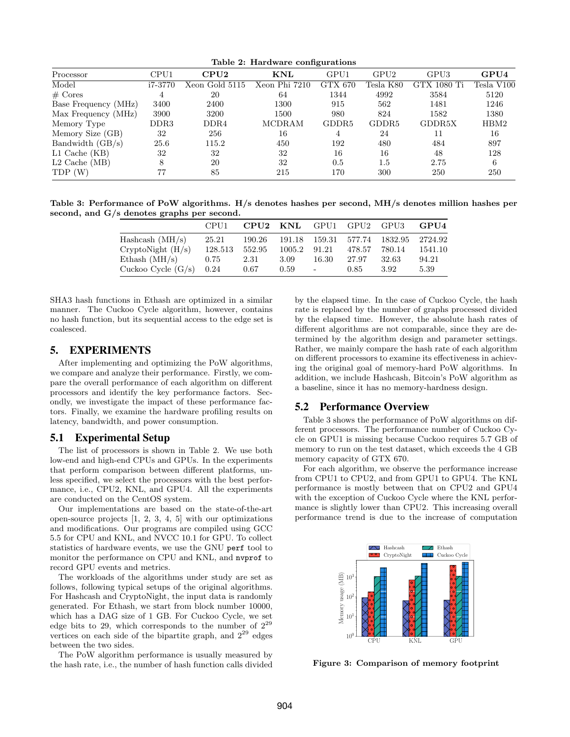| Table 2: Hardware configurations |                  |                |               |                   |                   |             |            |
|----------------------------------|------------------|----------------|---------------|-------------------|-------------------|-------------|------------|
| Processor                        | CPU1             | CPU2           | <b>KNL</b>    | GPU1              | GPU <sub>2</sub>  | GPU3        | GPU4       |
| Model                            | i7-3770          | Xeon Gold 5115 | Xeon Phi 7210 | GTX 670           | Tesla K80         | GTX 1080 Ti | Tesla V100 |
| $#$ Cores                        | 4                | 20             | 64            | 1344              | 4992              | 3584        | 5120       |
| Base Frequency (MHz)             | 3400             | 2400           | 1300          | 915               | 562               | 1481        | 1246       |
| Max Frequency (MHz)              | 3900             | 3200           | 1500          | 980               | 824               | 1582        | 1380       |
| Memory Type                      | DDR <sub>3</sub> | DDR4           | MCDRAM        | GDDR <sub>5</sub> | GDDR <sub>5</sub> | GDDR5X      | HBM2       |
| Memory Size (GB)                 | 32               | 256            | 16            | 4                 | 24                | 11          | 16         |
| Bandwidth $(GB/s)$               | 25.6             | 115.2          | 450           | 192               | 480               | 484         | 897        |
| $L1$ Cache (KB)                  | 32               | 32             | 32            | 16                | 16                | 48          | 128        |
| $L2$ Cache (MB)                  | 8                | 20             | 32            | 0.5               | $1.5\,$           | 2.75        | 6          |
| TDP (W)                          | 77               | 85             | 215           | 170               | 300               | 250         | 250        |

Table 3: Performance of PoW algorithms. H/s denotes hashes per second, MH/s denotes million hashes per second, and G/s denotes graphs per second.

|                      | CPU1    | CPU <sub>2</sub> | KNL    | GPU1           | $\mathrm{GPU2}$ | GPU3    | GPU4    |
|----------------------|---------|------------------|--------|----------------|-----------------|---------|---------|
| Hashcash $(MH/s)$    | 25.21   | 190.26           | 191.18 | 159.31         | 577.74          | 1832.95 | 2724.92 |
| CryptoNight (H/s)    | 128.513 | 552.95           | 1005.2 | 91.21          | 478.57          | 780.14  | 1541.10 |
| Ethash $(MH/s)$      | 0.75    | 2.31             | 3.09   | 16.30          | 27.97           | 32.63   | 94.21   |
| Cuckoo Cycle $(G/s)$ | 0.24    | 0.67             | 0.59   | $\blacksquare$ | 0.85            | 3.92    | 5.39    |

SHA3 hash functions in Ethash are optimized in a similar manner. The Cuckoo Cycle algorithm, however, contains no hash function, but its sequential access to the edge set is coalesced.

# 5. EXPERIMENTS

After implementing and optimizing the PoW algorithms, we compare and analyze their performance. Firstly, we compare the overall performance of each algorithm on different processors and identify the key performance factors. Secondly, we investigate the impact of these performance factors. Finally, we examine the hardware profiling results on latency, bandwidth, and power consumption.

# 5.1 Experimental Setup

The list of processors is shown in Table 2. We use both low-end and high-end CPUs and GPUs. In the experiments that perform comparison between different platforms, unless specified, we select the processors with the best performance, i.e., CPU2, KNL, and GPU4. All the experiments are conducted on the CentOS system.

Our implementations are based on the state-of-the-art open-source projects [1, 2, 3, 4, 5] with our optimizations and modifications. Our programs are compiled using GCC 5.5 for CPU and KNL, and NVCC 10.1 for GPU. To collect statistics of hardware events, we use the GNU perf tool to monitor the performance on CPU and KNL, and nvprof to record GPU events and metrics.

The workloads of the algorithms under study are set as follows, following typical setups of the original algorithms. For Hashcash and CryptoNight, the input data is randomly generated. For Ethash, we start from block number 10000, which has a DAG size of 1 GB. For Cuckoo Cycle, we set edge bits to 29, which corresponds to the number of  $2^{29}$ vertices on each side of the bipartite graph, and  $2^{29}$  edges between the two sides.

The PoW algorithm performance is usually measured by the hash rate, i.e., the number of hash function calls divided

by the elapsed time. In the case of Cuckoo Cycle, the hash rate is replaced by the number of graphs processed divided by the elapsed time. However, the absolute hash rates of different algorithms are not comparable, since they are determined by the algorithm design and parameter settings. Rather, we mainly compare the hash rate of each algorithm on different processors to examine its effectiveness in achieving the original goal of memory-hard PoW algorithms. In addition, we include Hashcash, Bitcoin's PoW algorithm as a baseline, since it has no memory-hardness design.

# 5.2 Performance Overview

Table 3 shows the performance of PoW algorithms on different processors. The performance number of Cuckoo Cycle on GPU1 is missing because Cuckoo requires 5.7 GB of memory to run on the test dataset, which exceeds the 4 GB memory capacity of GTX 670.

For each algorithm, we observe the performance increase from CPU1 to CPU2, and from GPU1 to GPU4. The KNL performance is mostly between that on CPU2 and GPU4 with the exception of Cuckoo Cycle where the KNL performance is slightly lower than CPU2. This increasing overall performance trend is due to the increase of computation



Figure 3: Comparison of memory footprint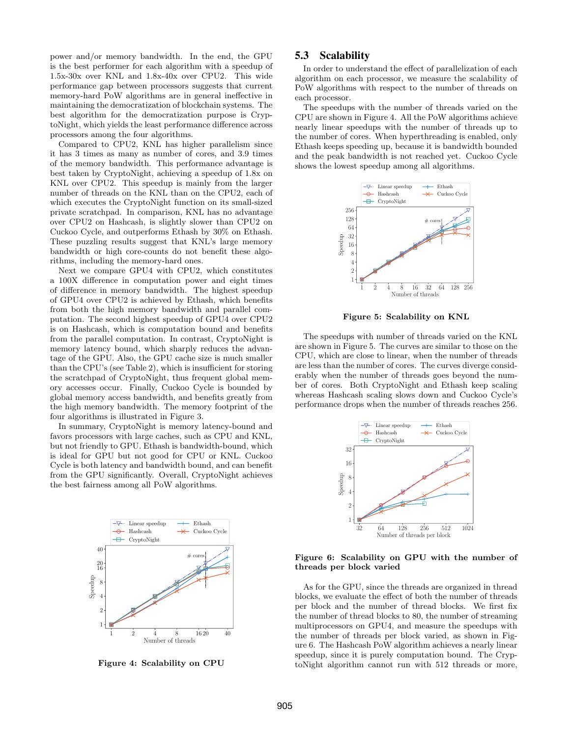power and/or memory bandwidth. In the end, the GPU is the best performer for each algorithm with a speedup of 1.5x-30x over KNL and 1.8x-40x over CPU2. This wide performance gap between processors suggests that current memory-hard PoW algorithms are in general ineffective in maintaining the democratization of blockchain systems. The best algorithm for the democratization purpose is CryptoNight, which yields the least performance difference across processors among the four algorithms.

Compared to CPU2, KNL has higher parallelism since it has 3 times as many as number of cores, and 3.9 times of the memory bandwidth. This performance advantage is best taken by CryptoNight, achieving a speedup of 1.8x on KNL over CPU2. This speedup is mainly from the larger number of threads on the KNL than on the CPU2, each of which executes the CryptoNight function on its small-sized private scratchpad. In comparison, KNL has no advantage over CPU2 on Hashcash, is slightly slower than CPU2 on Cuckoo Cycle, and outperforms Ethash by 30% on Ethash. These puzzling results suggest that KNL's large memory bandwidth or high core-counts do not benefit these algorithms, including the memory-hard ones.

Next we compare GPU4 with CPU2, which constitutes a 100X difference in computation power and eight times of difference in memory bandwidth. The highest speedup of GPU4 over CPU2 is achieved by Ethash, which benefits from both the high memory bandwidth and parallel computation. The second highest speedup of GPU4 over CPU2 is on Hashcash, which is computation bound and benefits from the parallel computation. In contrast, CryptoNight is memory latency bound, which sharply reduces the advantage of the GPU. Also, the GPU cache size is much smaller than the CPU's (see Table 2), which is insufficient for storing the scratchpad of CryptoNight, thus frequent global memory accesses occur. Finally, Cuckoo Cycle is bounded by global memory access bandwidth, and benefits greatly from the high memory bandwidth. The memory footprint of the four algorithms is illustrated in Figure 3.

In summary, CryptoNight is memory latency-bound and favors processors with large caches, such as CPU and KNL, but not friendly to GPU. Ethash is bandwidth-bound, which is ideal for GPU but not good for CPU or KNL. Cuckoo Cycle is both latency and bandwidth bound, and can benefit from the GPU significantly. Overall, CryptoNight achieves the best fairness among all PoW algorithms.



Figure 4: Scalability on CPU

# 5.3 Scalability

In order to understand the effect of parallelization of each algorithm on each processor, we measure the scalability of PoW algorithms with respect to the number of threads on each processor.

The speedups with the number of threads varied on the CPU are shown in Figure 4. All the PoW algorithms achieve nearly linear speedups with the number of threads up to the number of cores. When hyperthreading is enabled, only Ethash keeps speeding up, because it is bandwidth bounded and the peak bandwidth is not reached yet. Cuckoo Cycle shows the lowest speedup among all algorithms.



Figure 5: Scalability on KNL

The speedups with number of threads varied on the KNL are shown in Figure 5. The curves are similar to those on the CPU, which are close to linear, when the number of threads are less than the number of cores. The curves diverge considerably when the number of threads goes beyond the number of cores. Both CryptoNight and Ethash keep scaling whereas Hashcash scaling slows down and Cuckoo Cycle's performance drops when the number of threads reaches 256.



#### Figure 6: Scalability on GPU with the number of threads per block varied

As for the GPU, since the threads are organized in thread blocks, we evaluate the effect of both the number of threads per block and the number of thread blocks. We first fix the number of thread blocks to 80, the number of streaming multiprocessors on GPU4, and measure the speedups with the number of threads per block varied, as shown in Figure 6. The Hashcash PoW algorithm achieves a nearly linear speedup, since it is purely computation bound. The CryptoNight algorithm cannot run with 512 threads or more,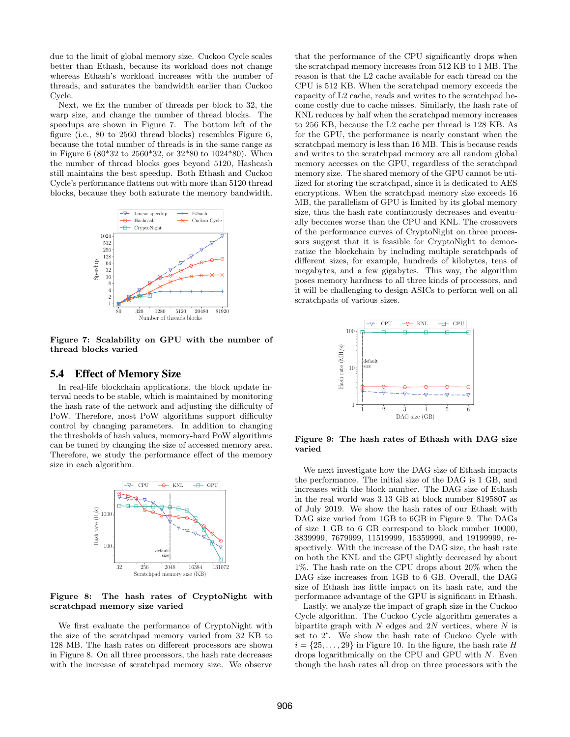due to the limit of global memory size. Cuckoo Cycle scales better than Ethash, because its workload does not change whereas Ethash's workload increases with the number of threads, and saturates the bandwidth earlier than Cuckoo Cycle.

Next, we fix the number of threads per block to 32, the warp size, and change the number of thread blocks. The speedups are shown in Figure 7. The bottom left of the figure (i.e., 80 to 2560 thread blocks) resembles Figure 6, because the total number of threads is in the same range as in Figure 6 (80\*32 to 2560\*32, or 32\*80 to 1024\*80). When the number of thread blocks goes beyond 5120, Hashcash still maintains the best speedup. Both Ethash and Cuckoo Cycle's performance flattens out with more than 5120 thread blocks, because they both saturate the memory bandwidth.



Figure 7: Scalability on GPU with the number of thread blocks varied

# 5.4 Effect of Memory Size

In real-life blockchain applications, the block update interval needs to be stable, which is maintained by monitoring the hash rate of the network and adjusting the difficulty of PoW. Therefore, most PoW algorithms support difficulty control by changing parameters. In addition to changing the thresholds of hash values, memory-hard PoW algorithms can be tuned by changing the size of accessed memory area. Therefore, we study the performance effect of the memory size in each algorithm.



Figure 8: The hash rates of CryptoNight with scratchpad memory size varied

We first evaluate the performance of CryptoNight with the size of the scratchpad memory varied from 32 KB to 128 MB. The hash rates on different processors are shown in Figure 8. On all three processors, the hash rate decreases with the increase of scratchpad memory size. We observe that the performance of the CPU significantly drops when the scratchpad memory increases from 512 KB to 1 MB. The reason is that the L2 cache available for each thread on the CPU is 512 KB. When the scratchpad memory exceeds the capacity of L2 cache, reads and writes to the scratchpad become costly due to cache misses. Similarly, the hash rate of KNL reduces by half when the scratchpad memory increases to 256 KB, because the L2 cache per thread is 128 KB. As for the GPU, the performance is nearly constant when the scratchpad memory is less than 16 MB. This is because reads and writes to the scratchpad memory are all random global memory accesses on the GPU, regardless of the scratchpad memory size. The shared memory of the GPU cannot be utilized for storing the scratchpad, since it is dedicated to AES encryptions. When the scratchpad memory size exceeds 16 MB, the parallelism of GPU is limited by its global memory size, thus the hash rate continuously decreases and eventually becomes worse than the CPU and KNL. The crossovers of the performance curves of CryptoNight on three processors suggest that it is feasible for CryptoNight to democratize the blockchain by including multiple scratchpads of different sizes, for example, hundreds of kilobytes, tens of megabytes, and a few gigabytes. This way, the algorithm poses memory hardness to all three kinds of processors, and it will be challenging to design ASICs to perform well on all scratchpads of various sizes.



Figure 9: The hash rates of Ethash with DAG size varied

We next investigate how the DAG size of Ethash impacts the performance. The initial size of the DAG is 1 GB, and increases with the block number. The DAG size of Ethash in the real world was 3.13 GB at block number 8195807 as of July 2019. We show the hash rates of our Ethash with DAG size varied from 1GB to 6GB in Figure 9. The DAGs of size 1 GB to 6 GB correspond to block number 10000, 3839999, 7679999, 11519999, 15359999, and 19199999, respectively. With the increase of the DAG size, the hash rate on both the KNL and the GPU slightly decreased by about 1%. The hash rate on the CPU drops about 20% when the DAG size increases from 1GB to 6 GB. Overall, the DAG size of Ethash has little impact on its hash rate, and the performance advantage of the GPU is significant in Ethash.

Lastly, we analyze the impact of graph size in the Cuckoo Cycle algorithm. The Cuckoo Cycle algorithm generates a bipartite graph with  $N$  edges and  $2N$  vertices, where  $N$  is set to  $2^i$ . We show the hash rate of Cuckoo Cycle with  $i = \{25, \ldots, 29\}$  in Figure 10. In the figure, the hash rate H drops logarithmically on the CPU and GPU with N. Even though the hash rates all drop on three processors with the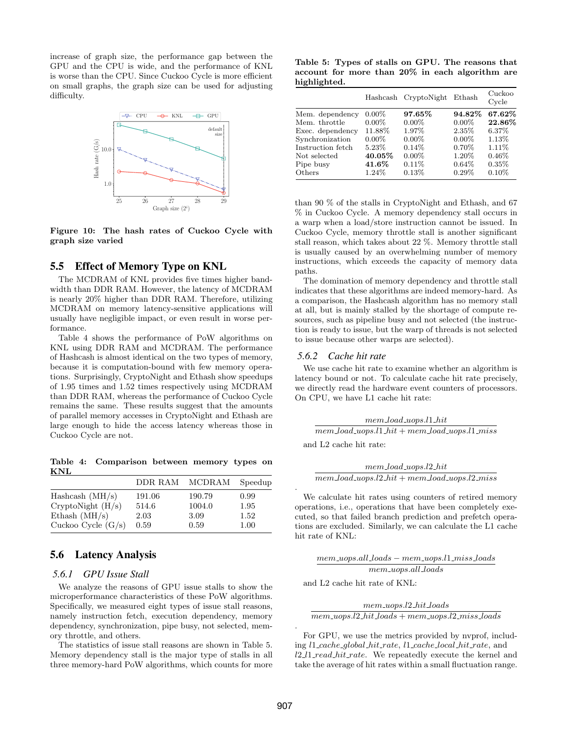increase of graph size, the performance gap between the GPU and the CPU is wide, and the performance of KNL is worse than the CPU. Since Cuckoo Cycle is more efficient on small graphs, the graph size can be used for adjusting difficulty.



Figure 10: The hash rates of Cuckoo Cycle with graph size varied

# 5.5 Effect of Memory Type on KNL

The MCDRAM of KNL provides five times higher bandwidth than DDR RAM. However, the latency of MCDRAM is nearly 20% higher than DDR RAM. Therefore, utilizing MCDRAM on memory latency-sensitive applications will usually have negligible impact, or even result in worse performance.

Table 4 shows the performance of PoW algorithms on KNL using DDR RAM and MCDRAM. The performance of Hashcash is almost identical on the two types of memory, because it is computation-bound with few memory operations. Surprisingly, CryptoNight and Ethash show speedups of 1.95 times and 1.52 times respectively using MCDRAM than DDR RAM, whereas the performance of Cuckoo Cycle remains the same. These results suggest that the amounts of parallel memory accesses in CryptoNight and Ethash are large enough to hide the access latency whereas those in Cuckoo Cycle are not.

Table 4: Comparison between memory types on KNL

|                      | DDR RAM | MCDRAM | Speedup |
|----------------------|---------|--------|---------|
| Hashcash $(MH/s)$    | 191.06  | 190.79 | 0.99    |
| CryptoNight (H/s)    | 514.6   | 1004.0 | 1.95    |
| Ethash $(MH/s)$      | 2.03    | 3.09   | 1.52    |
| Cuckoo Cycle $(G/s)$ | 0.59    | 0.59   | 1.00    |

# 5.6 Latency Analysis

#### *5.6.1 GPU Issue Stall*

We analyze the reasons of GPU issue stalls to show the microperformance characteristics of these PoW algorithms. Specifically, we measured eight types of issue stall reasons, namely instruction fetch, execution dependency, memory dependency, synchronization, pipe busy, not selected, memory throttle, and others.

The statistics of issue stall reasons are shown in Table 5. Memory dependency stall is the major type of stalls in all three memory-hard PoW algorithms, which counts for more

Table 5: Types of stalls on GPU. The reasons that account for more than 20% in each algorithm are highlighted.

|                   | Hashcash | CryptoNight | Ethash   | Cuckoo<br>Cycle |
|-------------------|----------|-------------|----------|-----------------|
| Mem. dependency   | $0.00\%$ | 97.65%      | 94.82%   | 67.62%          |
| Mem. throttle     | $0.00\%$ | $0.00\%$    | $0.00\%$ | 22.86%          |
| Exec. dependency  | 11.88%   | 1.97%       | 2.35%    | 6.37%           |
| Synchronization   | $0.00\%$ | $0.00\%$    | $0.00\%$ | 1.13%           |
| Instruction fetch | $5.23\%$ | $0.14\%$    | $0.70\%$ | 1.11\%          |
| Not selected      | 40.05%   | $0.00\%$    | 1.20%    | $0.46\%$        |
| Pipe busy         | 41.6%    | $0.11\%$    | $0.64\%$ | $0.35\%$        |
| Others            | 1.24\%   | 0.13%       | $0.29\%$ | $0.10\%$        |

than 90 % of the stalls in CryptoNight and Ethash, and 67 % in Cuckoo Cycle. A memory dependency stall occurs in a warp when a load/store instruction cannot be issued. In Cuckoo Cycle, memory throttle stall is another significant stall reason, which takes about 22 %. Memory throttle stall is usually caused by an overwhelming number of memory instructions, which exceeds the capacity of memory data paths.

The domination of memory dependency and throttle stall indicates that these algorithms are indeed memory-hard. As a comparison, the Hashcash algorithm has no memory stall at all, but is mainly stalled by the shortage of compute resources, such as pipeline busy and not selected (the instruction is ready to issue, but the warp of threads is not selected to issue because other warps are selected).

#### *5.6.2 Cache hit rate*

We use cache hit rate to examine whether an algorithm is latency bound or not. To calculate cache hit rate precisely, we directly read the hardware event counters of processors. On CPU, we have L1 cache hit rate:

mem load uops.l1 hit  $m$ em  $load\_uops.l1\_hit + mem\_load\_uops.l1\_miss$ and L2 cache hit rate:

mem load uops.l2 hit  $m$ em load uops.l $2$  hit + mem load uops.l $2$  miss

We calculate hit rates using counters of retired memory operations, i.e., operations that have been completely executed, so that failed branch prediction and prefetch operations are excluded. Similarly, we can calculate the L1 cache hit rate of KNL:

mem uops.all loads − mem uops.l1 miss loads mem uops.all loads

and L2 cache hit rate of KNL:

mem uops.l2 hit loads

 $mem\text{-}uops.l2\text{-}hit\text{-}loads + mem\text{-}uops.l2\text{-}miss\text{-}loads$ 

For GPU, we use the metrics provided by nvprof, including l1 cache global hit rate, l1 cache local hit rate, and l2 l1 read hit rate. We repeatedly execute the kernel and take the average of hit rates within a small fluctuation range.

.

.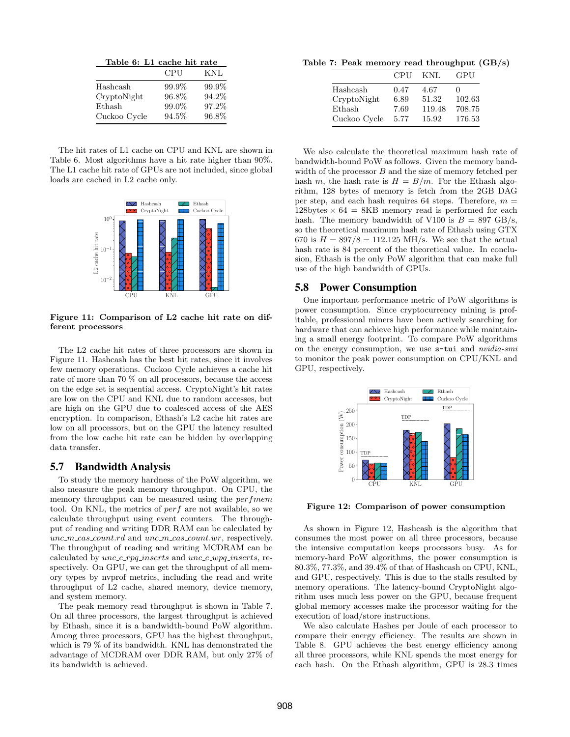| Table 6: L1 cache hit rate |       |       |  |  |
|----------------------------|-------|-------|--|--|
|                            | CPU   | KNL   |  |  |
| Hashcash                   | 99.9% | 99.9% |  |  |
| CryptoNight                | 96.8% | 94.2% |  |  |
| Ethash                     | 99.0% | 97.2% |  |  |
| Cuckoo Cycle               | 94.5% | 96.8% |  |  |

The hit rates of L1 cache on CPU and KNL are shown in Table 6. Most algorithms have a hit rate higher than 90%. The L1 cache hit rate of GPUs are not included, since global loads are cached in L2 cache only.



Figure 11: Comparison of L2 cache hit rate on different processors

The L2 cache hit rates of three processors are shown in Figure 11. Hashcash has the best hit rates, since it involves few memory operations. Cuckoo Cycle achieves a cache hit rate of more than 70 % on all processors, because the access on the edge set is sequential access. CryptoNight's hit rates are low on the CPU and KNL due to random accesses, but are high on the GPU due to coalesced access of the AES encryption. In comparison, Ethash's L2 cache hit rates are low on all processors, but on the GPU the latency resulted from the low cache hit rate can be hidden by overlapping data transfer.

# 5.7 Bandwidth Analysis

To study the memory hardness of the PoW algorithm, we also measure the peak memory throughput. On CPU, the memory throughput can be measured using the *perfmem* tool. On KNL, the metrics of perf are not available, so we calculate throughput using event counters. The throughput of reading and writing DDR RAM can be calculated by  $unc\_m\_cas\_count.rd$  and  $unc\_m\_cas\_count.wr$ , respectively. The throughput of reading and writing MCDRAM can be calculated by unc\_e\_rpq\_inserts and unc\_e\_wpq\_inserts, respectively. On GPU, we can get the throughput of all memory types by nvprof metrics, including the read and write throughput of L2 cache, shared memory, device memory, and system memory.

The peak memory read throughput is shown in Table 7. On all three processors, the largest throughput is achieved by Ethash, since it is a bandwidth-bound PoW algorithm. Among three processors, GPU has the highest throughput, which is 79 % of its bandwidth. KNL has demonstrated the advantage of MCDRAM over DDR RAM, but only 27% of its bandwidth is achieved.

Table 7: Peak memory read throughput (GB/s)

|              | CPU  | KNL    | GPU    |
|--------------|------|--------|--------|
| Hashcash     | 0.47 | 4.67   | 0      |
| CryptoNight  | 6.89 | 51.32  | 102.63 |
| Ethash       | 7.69 | 119.48 | 708.75 |
| Cuckoo Cycle | 5.77 | 15.92  | 176.53 |

We also calculate the theoretical maximum hash rate of bandwidth-bound PoW as follows. Given the memory bandwidth of the processor  $B$  and the size of memory fetched per hash m, the hash rate is  $H = B/m$ . For the Ethash algorithm, 128 bytes of memory is fetch from the 2GB DAG per step, and each hash requires 64 steps. Therefore,  $m =$  $128$ bytes  $\times$  64 = 8KB memory read is performed for each hash. The memory bandwidth of V100 is  $B = 897 \text{ GB/s}$ , so the theoretical maximum hash rate of Ethash using GTX 670 is  $H = 897/8 = 112.125$  MH/s. We see that the actual hash rate is 84 percent of the theoretical value. In conclusion, Ethash is the only PoW algorithm that can make full use of the high bandwidth of GPUs.

#### 5.8 Power Consumption

One important performance metric of PoW algorithms is power consumption. Since cryptocurrency mining is profitable, professional miners have been actively searching for hardware that can achieve high performance while maintaining a small energy footprint. To compare PoW algorithms on the energy consumption, we use s-tui and nvidia-smi to monitor the peak power consumption on CPU/KNL and GPU, respectively.



Figure 12: Comparison of power consumption

As shown in Figure 12, Hashcash is the algorithm that consumes the most power on all three processors, because the intensive computation keeps processors busy. As for memory-hard PoW algorithms, the power consumption is 80.3%, 77.3%, and 39.4% of that of Hashcash on CPU, KNL, and GPU, respectively. This is due to the stalls resulted by memory operations. The latency-bound CryptoNight algorithm uses much less power on the GPU, because frequent global memory accesses make the processor waiting for the execution of load/store instructions.

We also calculate Hashes per Joule of each processor to compare their energy efficiency. The results are shown in Table 8. GPU achieves the best energy efficiency among all three processors, while KNL spends the most energy for each hash. On the Ethash algorithm, GPU is 28.3 times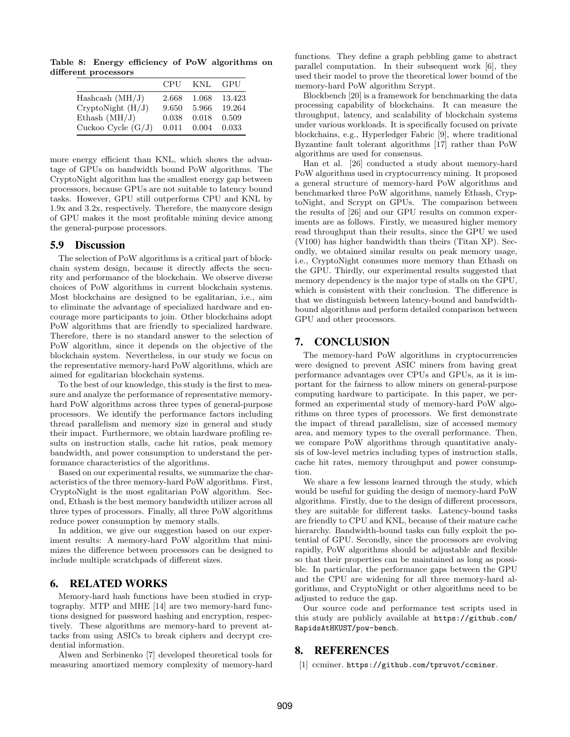Table 8: Energy efficiency of PoW algorithms on different processors

|                      | CPU   | KNL   | GPU    |
|----------------------|-------|-------|--------|
| Hashcash $(MH/J)$    | 2.668 | 1.068 | 13.423 |
| CryptoNight (H/J)    | 9.650 | 5.966 | 19.264 |
| Ethash $(MH/J)$      | 0.038 | 0.018 | 0.509  |
| Cuckoo Cycle $(G/J)$ | 0.011 | 0.004 | 0.033  |

more energy efficient than KNL, which shows the advantage of GPUs on bandwidth bound PoW algorithms. The CryptoNight algorithm has the smallest energy gap between processors, because GPUs are not suitable to latency bound tasks. However, GPU still outperforms CPU and KNL by 1.9x and 3.2x, respectively. Therefore, the manycore design of GPU makes it the most profitable mining device among the general-purpose processors.

# 5.9 Discussion

The selection of PoW algorithms is a critical part of blockchain system design, because it directly affects the security and performance of the blockchain. We observe diverse choices of PoW algorithms in current blockchain systems. Most blockchains are designed to be egalitarian, i.e., aim to eliminate the advantage of specialized hardware and encourage more participants to join. Other blockchains adopt PoW algorithms that are friendly to specialized hardware. Therefore, there is no standard answer to the selection of PoW algorithm, since it depends on the objective of the blockchain system. Nevertheless, in our study we focus on the representative memory-hard PoW algorithms, which are aimed for egalitarian blockchain systems.

To the best of our knowledge, this study is the first to measure and analyze the performance of representative memoryhard PoW algorithms across three types of general-purpose processors. We identify the performance factors including thread parallelism and memory size in general and study their impact. Furthermore, we obtain hardware profiling results on instruction stalls, cache hit ratios, peak memory bandwidth, and power consumption to understand the performance characteristics of the algorithms.

Based on our experimental results, we summarize the characteristics of the three memory-hard PoW algorithms. First, CryptoNight is the most egalitarian PoW algorithm. Second, Ethash is the best memory bandwidth utilizer across all three types of processors. Finally, all three PoW algorithms reduce power consumption by memory stalls.

In addition, we give our suggestion based on our experiment results: A memory-hard PoW algorithm that minimizes the difference between processors can be designed to include multiple scratchpads of different sizes.

# 6. RELATED WORKS

Memory-hard hash functions have been studied in cryptography. MTP and MHE [14] are two memory-hard functions designed for password hashing and encryption, respectively. These algorithms are memory-hard to prevent attacks from using ASICs to break ciphers and decrypt credential information.

Alwen and Serbinenko [7] developed theoretical tools for measuring amortized memory complexity of memory-hard functions. They define a graph pebbling game to abstract parallel computation. In their subsequent work [6], they used their model to prove the theoretical lower bound of the memory-hard PoW algorithm Scrypt.

Blockbench [20] is a framework for benchmarking the data processing capability of blockchains. It can measure the throughput, latency, and scalability of blockchain systems under various workloads. It is specifically focused on private blockchains, e.g., Hyperledger Fabric [9], where traditional Byzantine fault tolerant algorithms [17] rather than PoW algorithms are used for consensus.

Han et al. [26] conducted a study about memory-hard PoW algorithms used in cryptocurrency mining. It proposed a general structure of memory-hard PoW algorithms and benchmarked three PoW algorithms, namely Ethash, CryptoNight, and Scrypt on GPUs. The comparison between the results of [26] and our GPU results on common experiments are as follows. Firstly, we measured higher memory read throughput than their results, since the GPU we used (V100) has higher bandwidth than theirs (Titan XP). Secondly, we obtained similar results on peak memory usage, i.e., CryptoNight consumes more memory than Ethash on the GPU. Thirdly, our experimental results suggested that memory dependency is the major type of stalls on the GPU, which is consistent with their conclusion. The difference is that we distinguish between latency-bound and bandwidthbound algorithms and perform detailed comparison between GPU and other processors.

# 7. CONCLUSION

The memory-hard PoW algorithms in cryptocurrencies were designed to prevent ASIC miners from having great performance advantages over CPUs and GPUs, as it is important for the fairness to allow miners on general-purpose computing hardware to participate. In this paper, we performed an experimental study of memory-hard PoW algorithms on three types of processors. We first demonstrate the impact of thread parallelism, size of accessed memory area, and memory types to the overall performance. Then, we compare PoW algorithms through quantitative analysis of low-level metrics including types of instruction stalls, cache hit rates, memory throughput and power consumption.

We share a few lessons learned through the study, which would be useful for guiding the design of memory-hard PoW algorithms. Firstly, due to the design of different processors, they are suitable for different tasks. Latency-bound tasks are friendly to CPU and KNL, because of their mature cache hierarchy. Bandwidth-bound tasks can fully exploit the potential of GPU. Secondly, since the processors are evolving rapidly, PoW algorithms should be adjustable and flexible so that their properties can be maintained as long as possible. In particular, the performance gaps between the GPU and the CPU are widening for all three memory-hard algorithms, and CryptoNight or other algorithms need to be adjusted to reduce the gap.

Our source code and performance test scripts used in this study are publicly available at https://github.com/ RapidsAtHKUST/pow-bench.

# 8. REFERENCES

[1] ccminer. https://github.com/tpruvot/ccminer.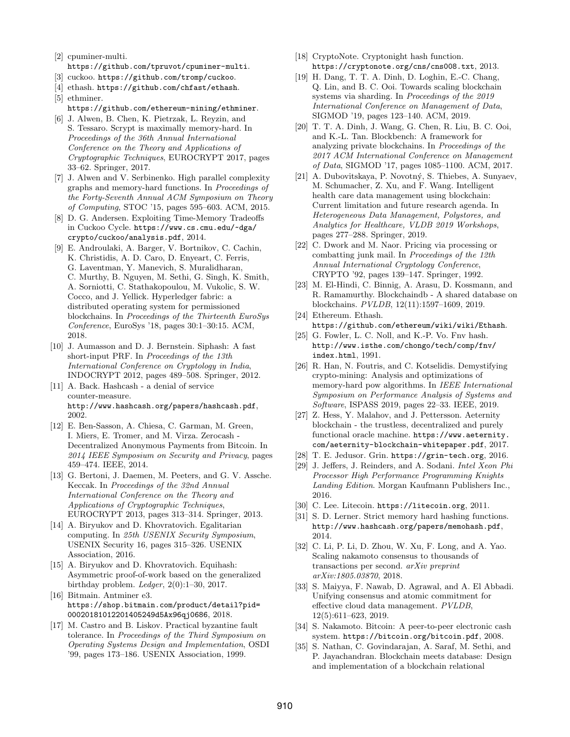- [2] cpuminer-multi. https://github.com/tpruvot/cpuminer-multi.
- [3] cuckoo. https://github.com/tromp/cuckoo.
- [4] ethash. https://github.com/chfast/ethash. [5] ethminer.
	- https://github.com/ethereum-mining/ethminer.
- [6] J. Alwen, B. Chen, K. Pietrzak, L. Reyzin, and S. Tessaro. Scrypt is maximally memory-hard. In Proceedings of the 36th Annual International Conference on the Theory and Applications of Cryptographic Techniques, EUROCRYPT 2017, pages 33–62. Springer, 2017.
- [7] J. Alwen and V. Serbinenko. High parallel complexity graphs and memory-hard functions. In Proceedings of the Forty-Seventh Annual ACM Symposium on Theory of Computing, STOC '15, pages 595–603. ACM, 2015.
- [8] D. G. Andersen. Exploiting Time-Memory Tradeoffs in Cuckoo Cycle. https://www.cs.cmu.edu/~dga/ crypto/cuckoo/analysis.pdf, 2014.
- [9] E. Androulaki, A. Barger, V. Bortnikov, C. Cachin, K. Christidis, A. D. Caro, D. Enyeart, C. Ferris, G. Laventman, Y. Manevich, S. Muralidharan, C. Murthy, B. Nguyen, M. Sethi, G. Singh, K. Smith, A. Sorniotti, C. Stathakopoulou, M. Vukolic, S. W. Cocco, and J. Yellick. Hyperledger fabric: a distributed operating system for permissioned blockchains. In Proceedings of the Thirteenth EuroSys Conference, EuroSys '18, pages 30:1–30:15. ACM, 2018.
- [10] J. Aumasson and D. J. Bernstein. Siphash: A fast short-input PRF. In Proceedings of the 13th International Conference on Cryptology in India, INDOCRYPT 2012, pages 489–508. Springer, 2012.
- [11] A. Back. Hashcash a denial of service counter-measure. http://www.hashcash.org/papers/hashcash.pdf, 2002.
- [12] E. Ben-Sasson, A. Chiesa, C. Garman, M. Green, I. Miers, E. Tromer, and M. Virza. Zerocash - Decentralized Anonymous Payments from Bitcoin. In 2014 IEEE Symposium on Security and Privacy, pages 459–474. IEEE, 2014.
- [13] G. Bertoni, J. Daemen, M. Peeters, and G. V. Assche. Keccak. In Proceedings of the 32nd Annual International Conference on the Theory and Applications of Cryptographic Techniques, EUROCRYPT 2013, pages 313–314. Springer, 2013.
- [14] A. Biryukov and D. Khovratovich. Egalitarian computing. In 25th USENIX Security Symposium, USENIX Security 16, pages 315–326. USENIX Association, 2016.
- [15] A. Biryukov and D. Khovratovich. Equihash: Asymmetric proof-of-work based on the generalized birthday problem. Ledger, 2(0):1–30, 2017.
- [16] Bitmain. Antminer e3. https://shop.bitmain.com/product/detail?pid= 00020181012201405249d5Ax96qj0686, 2018.
- [17] M. Castro and B. Liskov. Practical byzantine fault tolerance. In Proceedings of the Third Symposium on Operating Systems Design and Implementation, OSDI '99, pages 173–186. USENIX Association, 1999.
- [18] CryptoNote. Cryptonight hash function. https://cryptonote.org/cns/cns008.txt, 2013.
- [19] H. Dang, T. T. A. Dinh, D. Loghin, E.-C. Chang, Q. Lin, and B. C. Ooi. Towards scaling blockchain systems via sharding. In Proceedings of the 2019 International Conference on Management of Data, SIGMOD '19, pages 123–140. ACM, 2019.
- [20] T. T. A. Dinh, J. Wang, G. Chen, R. Liu, B. C. Ooi, and K.-L. Tan. Blockbench: A framework for analyzing private blockchains. In Proceedings of the 2017 ACM International Conference on Management of Data, SIGMOD '17, pages 1085–1100. ACM, 2017.
- [21] A. Dubovitskaya, P. Novotný, S. Thiebes, A. Sunyaev, M. Schumacher, Z. Xu, and F. Wang. Intelligent health care data management using blockchain: Current limitation and future research agenda. In Heterogeneous Data Management, Polystores, and Analytics for Healthcare, VLDB 2019 Workshops, pages 277–288. Springer, 2019.
- [22] C. Dwork and M. Naor. Pricing via processing or combatting junk mail. In Proceedings of the 12th Annual International Cryptology Conference, CRYPTO '92, pages 139–147. Springer, 1992.
- [23] M. El-Hindi, C. Binnig, A. Arasu, D. Kossmann, and R. Ramamurthy. Blockchaindb - A shared database on blockchains. PVLDB, 12(11):1597–1609, 2019.
- [24] Ethereum. Ethash. https://github.com/ethereum/wiki/wiki/Ethash.
- [25] G. Fowler, L. C. Noll, and K.-P. Vo. Fnv hash. http://www.isthe.com/chongo/tech/comp/fnv/ index.html, 1991.
- [26] R. Han, N. Foutris, and C. Kotselidis. Demystifying crypto-mining: Analysis and optimizations of memory-hard pow algorithms. In IEEE International Symposium on Performance Analysis of Systems and Software, ISPASS 2019, pages 22–33. IEEE, 2019.
- [27] Z. Hess, Y. Malahov, and J. Pettersson. Aeternity blockchain - the trustless, decentralized and purely functional oracle machine. https://www.aeternity. com/aeternity-blockchain-whitepaper.pdf, 2017.
- [28] T. E. Jedusor. Grin. https://grin-tech.org, 2016.
- [29] J. Jeffers, J. Reinders, and A. Sodani. Intel Xeon Phi Processor High Performance Programming Knights Landing Edition. Morgan Kaufmann Publishers Inc., 2016.
- [30] C. Lee. Litecoin. https://litecoin.org, 2011.
- [31] S. D. Lerner. Strict memory hard hashing functions. http://www.hashcash.org/papers/memohash.pdf, 2014.
- [32] C. Li, P. Li, D. Zhou, W. Xu, F. Long, and A. Yao. Scaling nakamoto consensus to thousands of transactions per second. arXiv preprint arXiv:1805.03870, 2018.
- [33] S. Maiyya, F. Nawab, D. Agrawal, and A. El Abbadi. Unifying consensus and atomic commitment for effective cloud data management. PVLDB, 12(5):611–623, 2019.
- [34] S. Nakamoto. Bitcoin: A peer-to-peer electronic cash system. https://bitcoin.org/bitcoin.pdf, 2008.
- [35] S. Nathan, C. Govindarajan, A. Saraf, M. Sethi, and P. Jayachandran. Blockchain meets database: Design and implementation of a blockchain relational